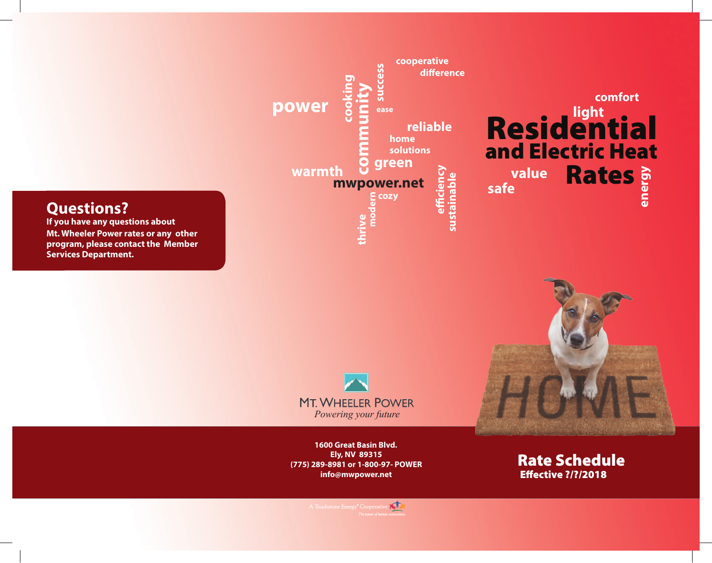# **Questions?**

**If you have any questions about Mt. Wheeler Power rates or any other program, please contact the Member Services Department.** 





**1600 Great Basin Blvd. Ely, NV 89315 (775) 289-8981 or 1-800-97- POWER info@mwpower.net** 

Rate Schedule Effective ?/?/2018

**light** 

**comfort** 

 $\kappa$ A Touchstone Energy<sup>®</sup> Cooperativ